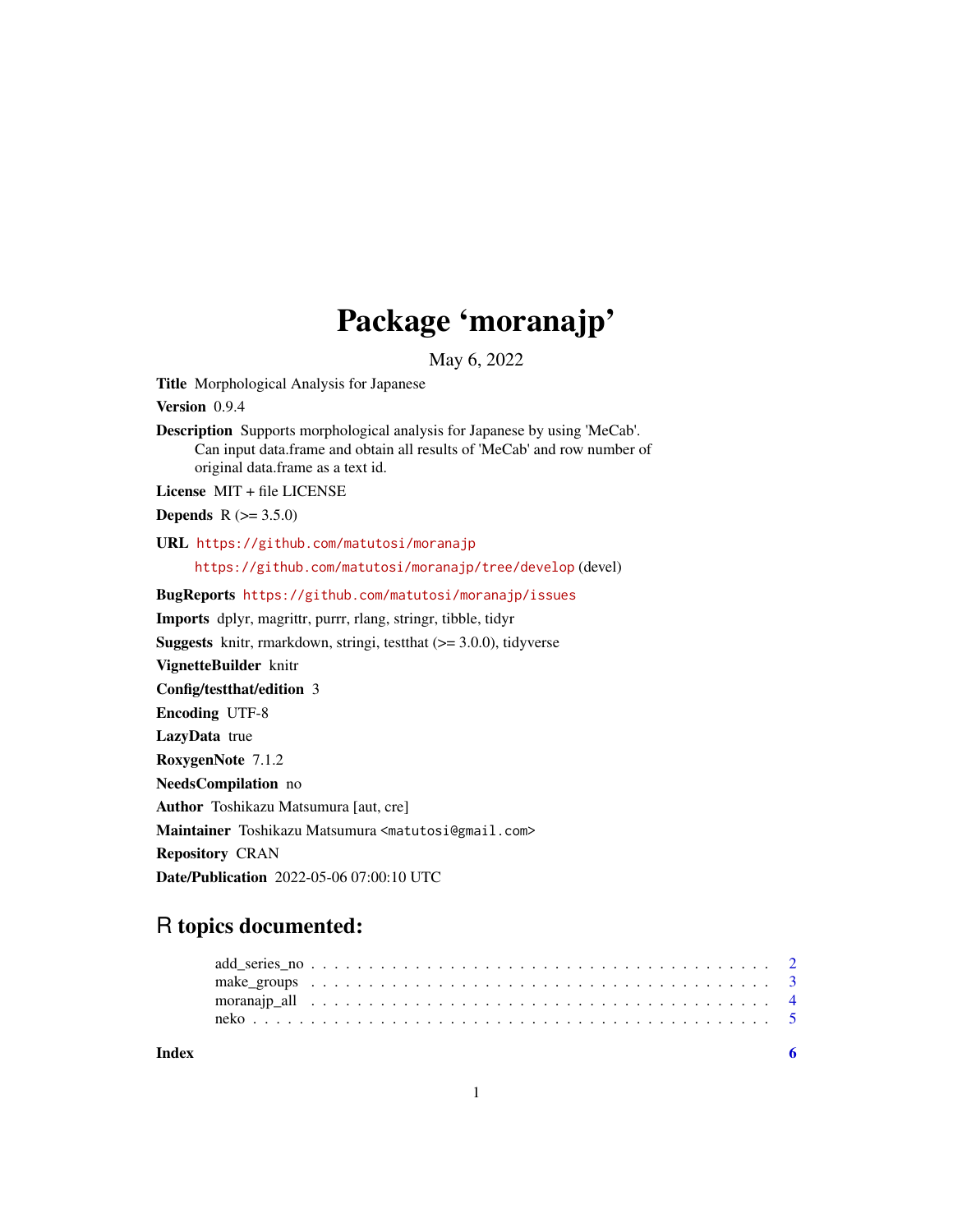## Package 'moranajp'

May 6, 2022

Title Morphological Analysis for Japanese

Version 0.9.4

Description Supports morphological analysis for Japanese by using 'MeCab'. Can input data.frame and obtain all results of 'MeCab' and row number of original data.frame as a text id.

License MIT + file LICENSE

**Depends**  $R (= 3.5.0)$ 

URL <https://github.com/matutosi/moranajp>

<https://github.com/matutosi/moranajp/tree/develop> (devel)

BugReports <https://github.com/matutosi/moranajp/issues>

Imports dplyr, magrittr, purrr, rlang, stringr, tibble, tidyr

Suggests knitr, rmarkdown, stringi, testthat (>= 3.0.0), tidyverse

VignetteBuilder knitr

Config/testthat/edition 3

Encoding UTF-8

LazyData true RoxygenNote 7.1.2

NeedsCompilation no

Author Toshikazu Matsumura [aut, cre]

Maintainer Toshikazu Matsumura <matutosi@gmail.com>

Repository CRAN

Date/Publication 2022-05-06 07:00:10 UTC

### R topics documented:

**Index** [6](#page-5-0) **6**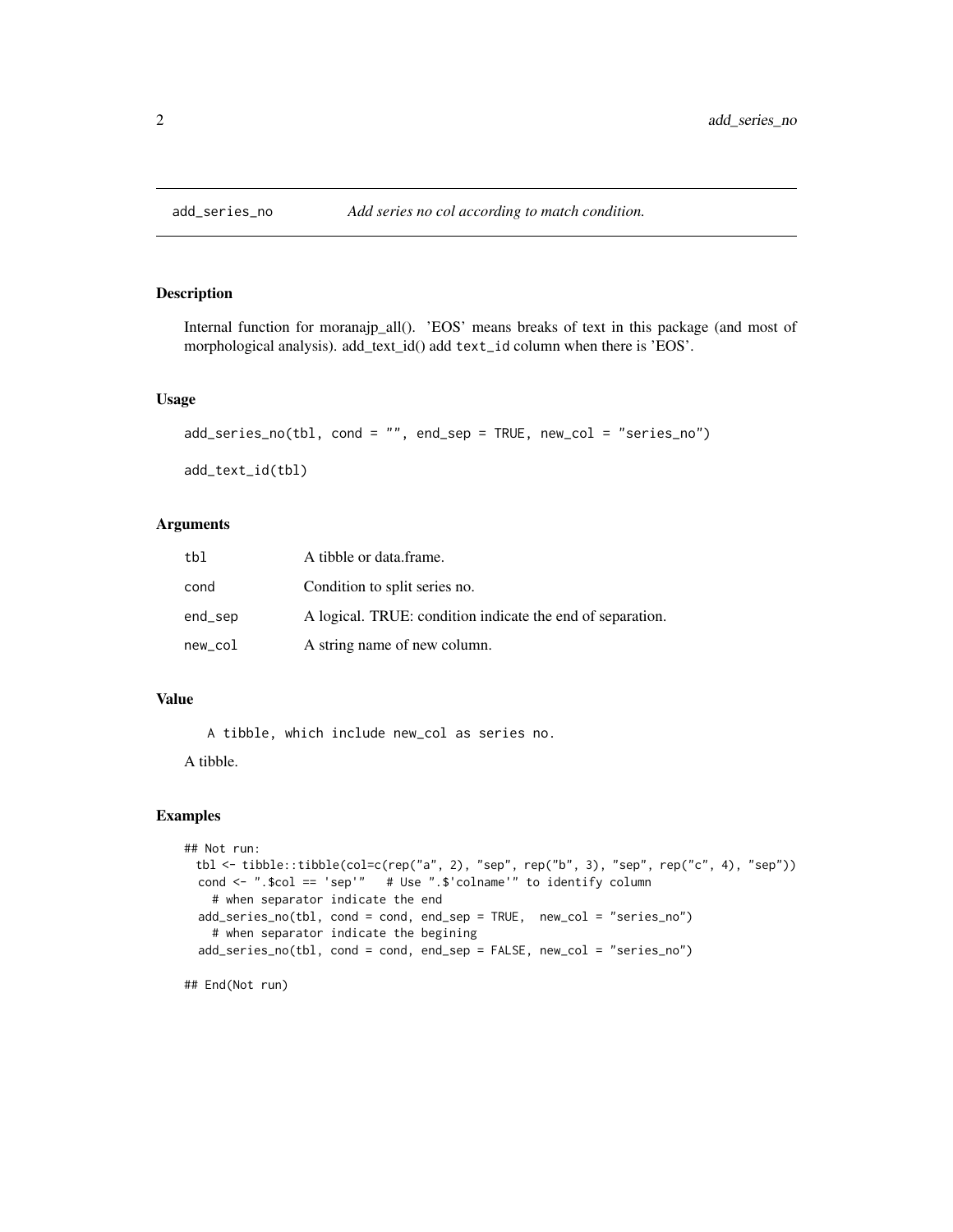<span id="page-1-0"></span>

Internal function for moranajp\_all(). 'EOS' means breaks of text in this package (and most of morphological analysis). add\_text\_id() add text\_id column when there is 'EOS'.

#### Usage

```
add_series_no(tbl, cond = "", end_sep = TRUE, new_col = "series_no")
```
add\_text\_id(tbl)

#### Arguments

| tbl     | A tibble or data frame.                                    |
|---------|------------------------------------------------------------|
| cond    | Condition to split series no.                              |
| end_sep | A logical. TRUE: condition indicate the end of separation. |
| new_col | A string name of new column.                               |

#### Value

A tibble, which include new\_col as series no.

A tibble.

#### Examples

```
## Not run:
 tbl <- tibble::tibble(col=c(rep("a", 2), "sep", rep("b", 3), "sep", rep("c", 4), "sep"))
 cond <- ".$col == 'sep'" # Use ".$'colname'" to identify column
   # when separator indicate the end
 add_series_no(tbl, cond = cond, end_sep = TRUE, new_col = "series_no")
   # when separator indicate the begining
 add_series_no(tbl, cond = cond, end_sep = FALSE, new_col = "series_no")
```
## End(Not run)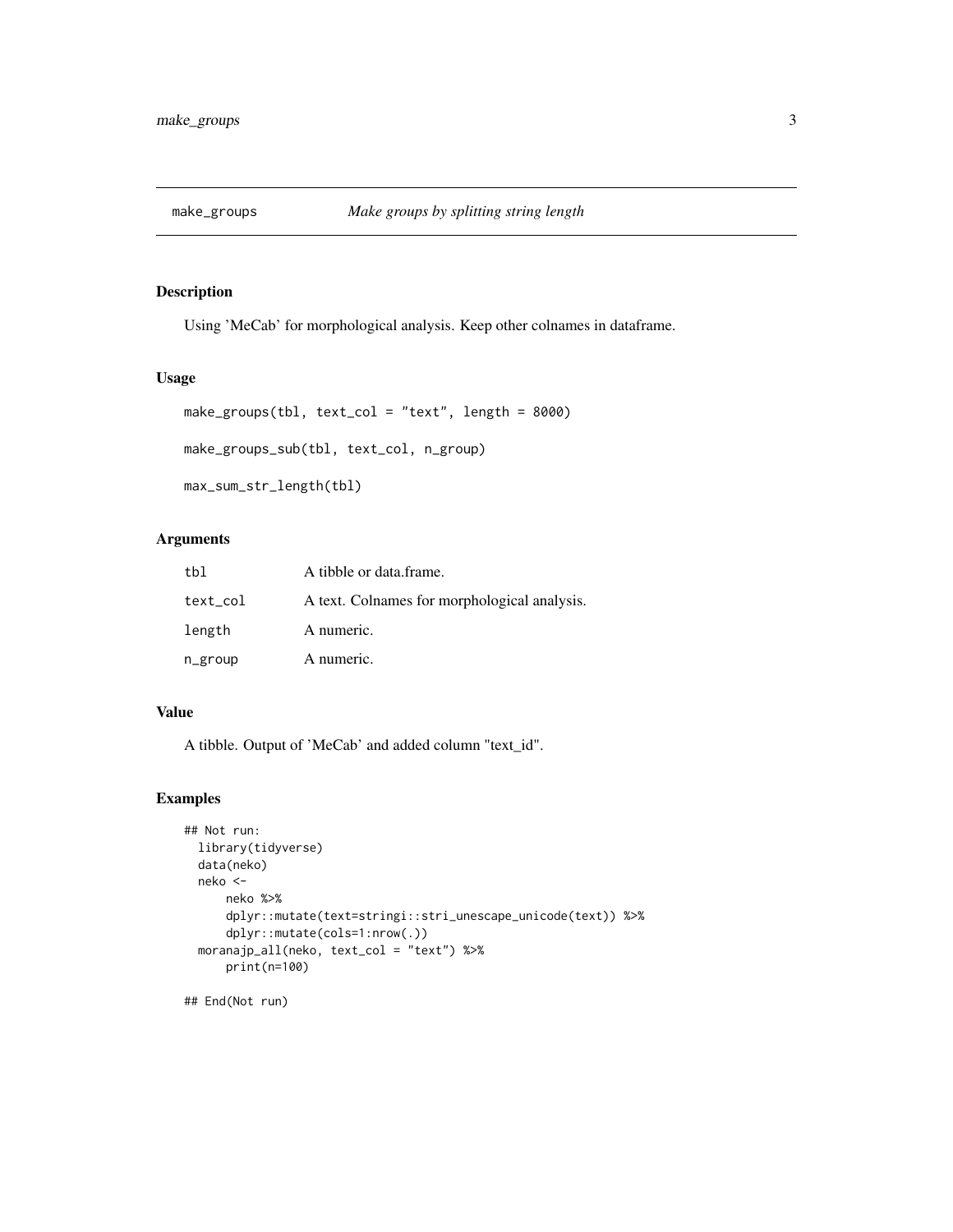<span id="page-2-0"></span>

Using 'MeCab' for morphological analysis. Keep other colnames in dataframe.

#### Usage

```
make_groups(tbl, text_col = "text", length = 8000)
make_groups_sub(tbl, text_col, n_group)
```
max\_sum\_str\_length(tbl)

#### Arguments

| tbl      | A tibble or data frame.                      |
|----------|----------------------------------------------|
| text_col | A text. Colnames for morphological analysis. |
| length   | A numeric.                                   |
| n_group  | A numeric.                                   |

#### Value

A tibble. Output of 'MeCab' and added column "text\_id".

#### Examples

```
## Not run:
 library(tidyverse)
 data(neko)
 neko <-
     neko %>%
     dplyr::mutate(text=stringi::stri_unescape_unicode(text)) %>%
     dplyr::mutate(cols=1:nrow(.))
 moranajp_all(neko, text_col = "text") %>%
     print(n=100)
```
## End(Not run)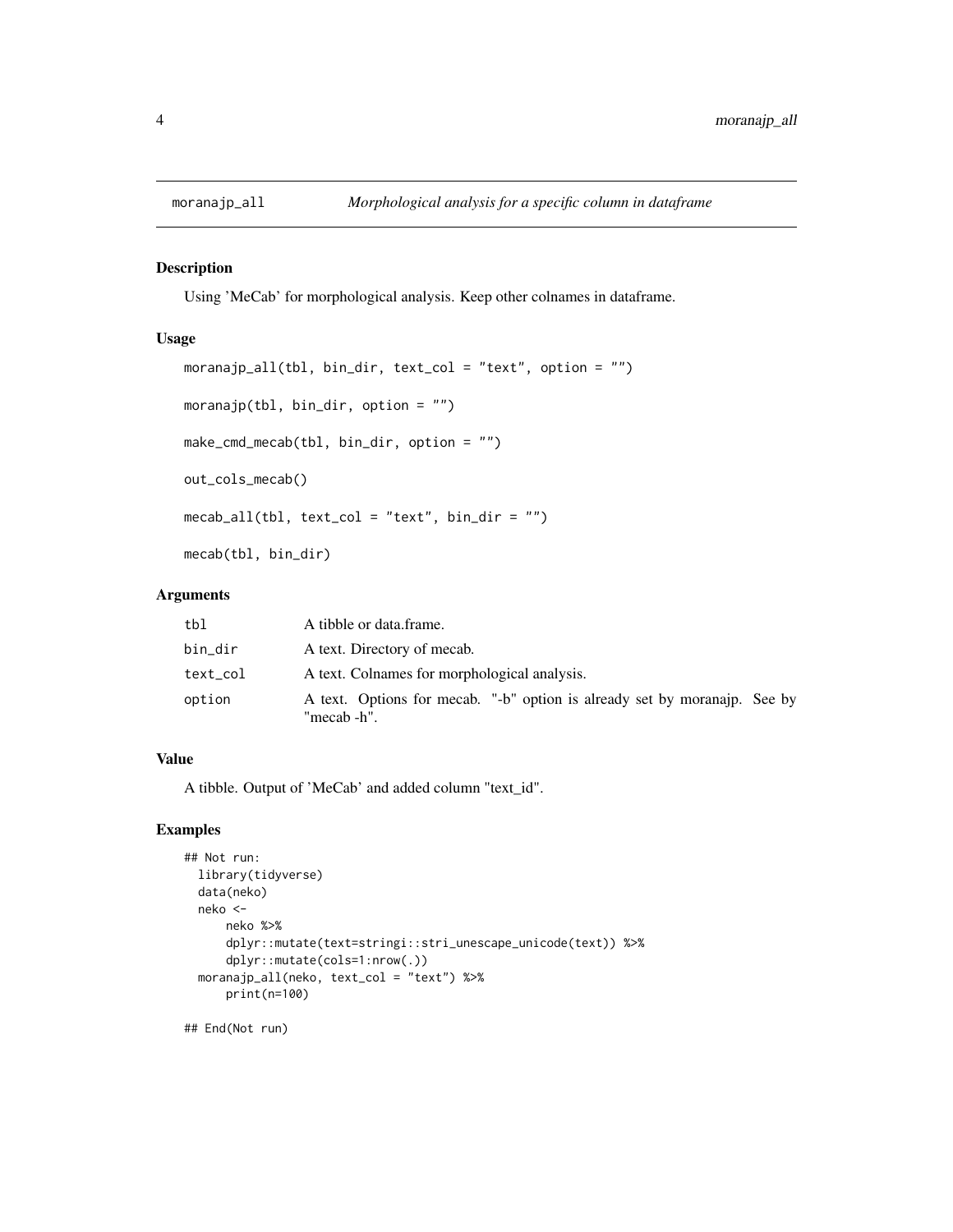Using 'MeCab' for morphological analysis. Keep other colnames in dataframe.

#### Usage

```
moranajp_all(tbl, bin_dir, text_col = "text", option = "")
moranajp(tbl, bin_dir, option = ")
make_cmd_mecab(tbl, bin_dir, option = "")
out_cols_mecab()
mecab_all(tbl, text_col = "text", bin_dir = "")mecab(tbl, bin_dir)
```
#### Arguments

| tbl      | A tibble or data frame.                                                                  |
|----------|------------------------------------------------------------------------------------------|
| bin_dir  | A text. Directory of mecab.                                                              |
| text_col | A text. Colnames for morphological analysis.                                             |
| option   | A text. Options for mecab. "-b" option is already set by moranajp. See by<br>"mecab -h". |

#### Value

A tibble. Output of 'MeCab' and added column "text\_id".

#### Examples

```
## Not run:
 library(tidyverse)
 data(neko)
 neko <-
     neko %>%
     dplyr::mutate(text=stringi::stri_unescape_unicode(text)) %>%
     dplyr::mutate(cols=1:nrow(.))
 moranajp_all(neko, text_col = "text") %>%
     print(n=100)
```
## End(Not run)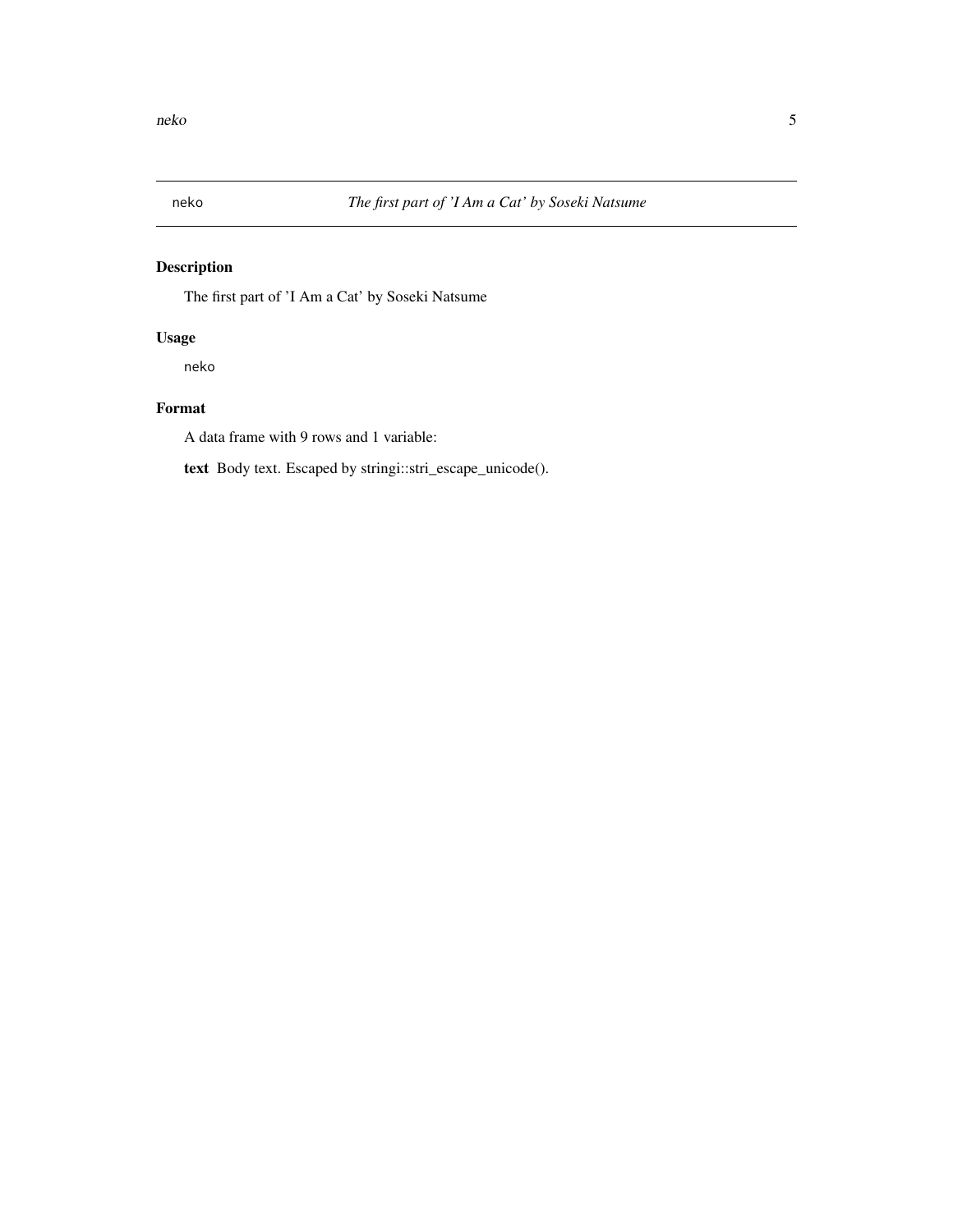<span id="page-4-0"></span>

The first part of 'I Am a Cat' by Soseki Natsume

#### Usage

neko

#### Format

A data frame with 9 rows and 1 variable:

text Body text. Escaped by stringi::stri\_escape\_unicode().